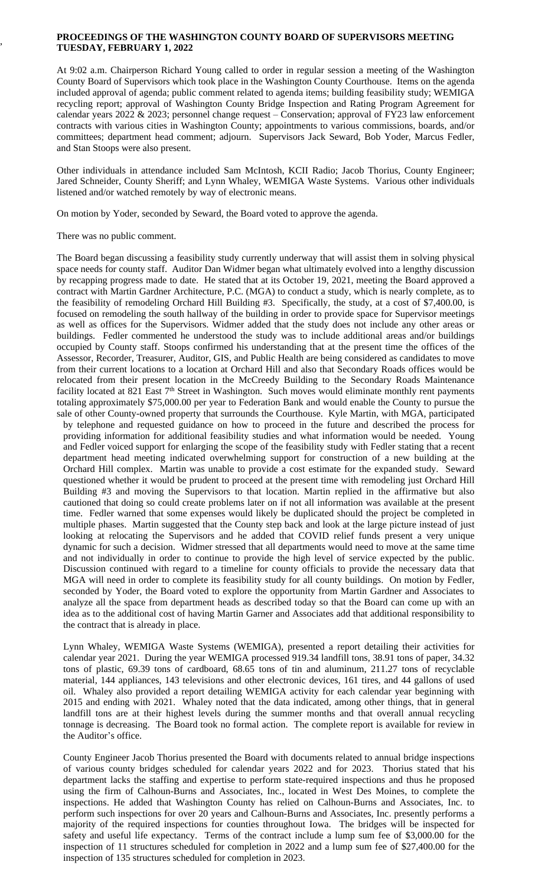## **PROCEEDINGS OF THE WASHINGTON COUNTY BOARD OF SUPERVISORS MEETING TUESDAY, FEBRUARY 1, 2022**

At 9:02 a.m. Chairperson Richard Young called to order in regular session a meeting of the Washington County Board of Supervisors which took place in the Washington County Courthouse. Items on the agenda included approval of agenda; public comment related to agenda items; building feasibility study; WEMIGA recycling report; approval of Washington County Bridge Inspection and Rating Program Agreement for calendar years 2022 & 2023; personnel change request – Conservation; approval of FY23 law enforcement contracts with various cities in Washington County; appointments to various commissions, boards, and/or committees; department head comment; adjourn. Supervisors Jack Seward, Bob Yoder, Marcus Fedler, and Stan Stoops were also present.

Other individuals in attendance included Sam McIntosh, KCII Radio; Jacob Thorius, County Engineer; Jared Schneider, County Sheriff; and Lynn Whaley, WEMIGA Waste Systems. Various other individuals listened and/or watched remotely by way of electronic means.

On motion by Yoder, seconded by Seward, the Board voted to approve the agenda.

There was no public comment.

,

The Board began discussing a feasibility study currently underway that will assist them in solving physical space needs for county staff. Auditor Dan Widmer began what ultimately evolved into a lengthy discussion by recapping progress made to date. He stated that at its October 19, 2021, meeting the Board approved a contract with Martin Gardner Architecture, P.C. (MGA) to conduct a study, which is nearly complete, as to the feasibility of remodeling Orchard Hill Building #3. Specifically, the study, at a cost of \$7,400.00, is focused on remodeling the south hallway of the building in order to provide space for Supervisor meetings as well as offices for the Supervisors. Widmer added that the study does not include any other areas or buildings. Fedler commented he understood the study was to include additional areas and/or buildings occupied by County staff. Stoops confirmed his understanding that at the present time the offices of the Assessor, Recorder, Treasurer, Auditor, GIS, and Public Health are being considered as candidates to move from their current locations to a location at Orchard Hill and also that Secondary Roads offices would be relocated from their present location in the McCreedy Building to the Secondary Roads Maintenance facility located at 821 East 7<sup>th</sup> Street in Washington. Such moves would eliminate monthly rent payments totaling approximately \$75,000.00 per year to Federation Bank and would enable the County to pursue the sale of other County-owned property that surrounds the Courthouse. Kyle Martin, with MGA, participated by telephone and requested guidance on how to proceed in the future and described the process for providing information for additional feasibility studies and what information would be needed. Young and Fedler voiced support for enlarging the scope of the feasibility study with Fedler stating that a recent department head meeting indicated overwhelming support for construction of a new building at the Orchard Hill complex. Martin was unable to provide a cost estimate for the expanded study. Seward questioned whether it would be prudent to proceed at the present time with remodeling just Orchard Hill Building #3 and moving the Supervisors to that location. Martin replied in the affirmative but also cautioned that doing so could create problems later on if not all information was available at the present time. Fedler warned that some expenses would likely be duplicated should the project be completed in multiple phases. Martin suggested that the County step back and look at the large picture instead of just looking at relocating the Supervisors and he added that COVID relief funds present a very unique dynamic for such a decision. Widmer stressed that all departments would need to move at the same time and not individually in order to continue to provide the high level of service expected by the public. Discussion continued with regard to a timeline for county officials to provide the necessary data that MGA will need in order to complete its feasibility study for all county buildings. On motion by Fedler, seconded by Yoder, the Board voted to explore the opportunity from Martin Gardner and Associates to analyze all the space from department heads as described today so that the Board can come up with an idea as to the additional cost of having Martin Garner and Associates add that additional responsibility to the contract that is already in place.

Lynn Whaley, WEMIGA Waste Systems (WEMIGA), presented a report detailing their activities for calendar year 2021. During the year WEMIGA processed 919.34 landfill tons, 38.91 tons of paper, 34.32 tons of plastic, 69.39 tons of cardboard, 68.65 tons of tin and aluminum, 211.27 tons of recyclable material, 144 appliances, 143 televisions and other electronic devices, 161 tires, and 44 gallons of used oil. Whaley also provided a report detailing WEMIGA activity for each calendar year beginning with 2015 and ending with 2021. Whaley noted that the data indicated, among other things, that in general landfill tons are at their highest levels during the summer months and that overall annual recycling tonnage is decreasing. The Board took no formal action. The complete report is available for review in the Auditor's office.

County Engineer Jacob Thorius presented the Board with documents related to annual bridge inspections of various county bridges scheduled for calendar years 2022 and for 2023. Thorius stated that his department lacks the staffing and expertise to perform state-required inspections and thus he proposed using the firm of Calhoun-Burns and Associates, Inc., located in West Des Moines, to complete the inspections. He added that Washington County has relied on Calhoun-Burns and Associates, Inc. to perform such inspections for over 20 years and Calhoun-Burns and Associates, Inc. presently performs a majority of the required inspections for counties throughout Iowa. The bridges will be inspected for safety and useful life expectancy. Terms of the contract include a lump sum fee of \$3,000.00 for the inspection of 11 structures scheduled for completion in 2022 and a lump sum fee of \$27,400.00 for the inspection of 135 structures scheduled for completion in 2023.